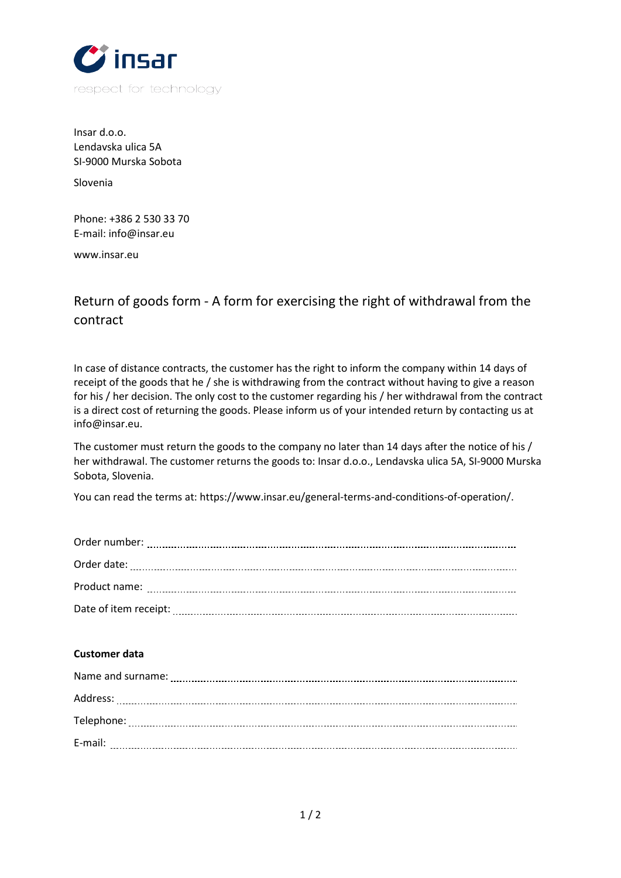

Insar d.o.o. Lendavska ulica 5A SI-9000 Murska Sobota

Slovenia

Phone: +386 2 530 33 70 E-mail: info@insar.eu

www.insar.eu

## Return of goods form - A form for exercising the right of withdrawal from the contract

In case of distance contracts, the customer has the right to inform the company within 14 days of receipt of the goods that he / she is withdrawing from the contract without having to give a reason for his / her decision. The only cost to the customer regarding his / her withdrawal from the contract is a direct cost of returning the goods. Please inform us of your intended return by contacting us at info@insar.eu.

The customer must return the goods to the company no later than 14 days after the notice of his / her withdrawal. The customer returns the goods to: Insar d.o.o., Lendavska ulica 5A, SI-9000 Murska Sobota, Slovenia.

You can read the terms at: https://www.insar.eu/general-terms-and-conditions-of-operation/.

| Date of item receipt: |
|-----------------------|

## **Customer data**

| Name and surname: |
|-------------------|
| Address:          |
| Telephone:        |
| E-mail:           |